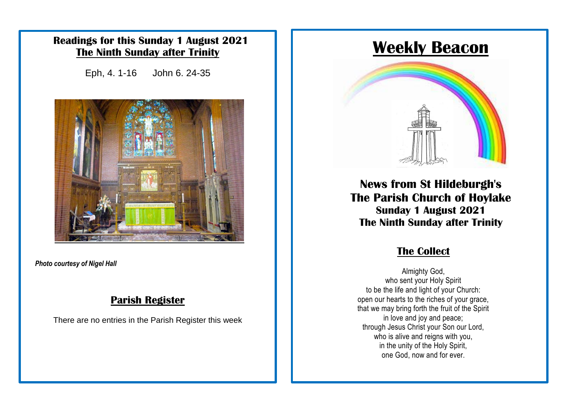### **Readings for this Sunday 1 August 2021 The Ninth Sunday after Trinity**

Eph, 4. 1-16 John 6. 24-35



*Photo courtesy of Nigel Hall*

### **Parish Register**

There are no entries in the Parish Register this week

# **Weekly Beacon**



**News from St Hildeburgh's The Parish Church of Hoylake Sunday 1 August 2021 The Ninth Sunday after Trinity**

### **The Collect**

Almighty God, who sent your Holy Spirit to be the life and light of your Church: open our hearts to the riches of your grace, that we may bring forth the fruit of the Spirit in love and joy and peace; through Jesus Christ your Son our Lord, who is alive and reigns with you, in the unity of the Holy Spirit, one God, now and for ever.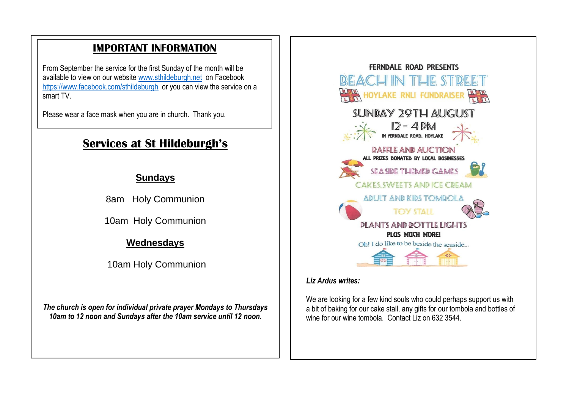# **IMPORTANT INFORMATION**

From September the service for the first Sunday of the month will be available to view on our website [www.sthildeburgh.net](http://www.sthildeburgh.net/) on Facebook <https://www.facebook.com/sthildeburgh>or you can view the service on a smart TV

Please wear a face mask when you are in church. Thank you.

# **Services at St Hildeburgh's**

### **Sundays**

8am Holy Communion

10am Holy Communion

### **Wednesdays**

10am Holy Communion

*The church is open for individual private prayer Mondays to Thursdays 10am to 12 noon and Sundays after the 10am service until 12 noon.*



### *Liz Ardus writes:*

We are looking for a few kind souls who could perhaps support us with a bit of baking for our cake stall, any gifts for our tombola and bottles of wine for our wine tombola. Contact Liz on 632 3544.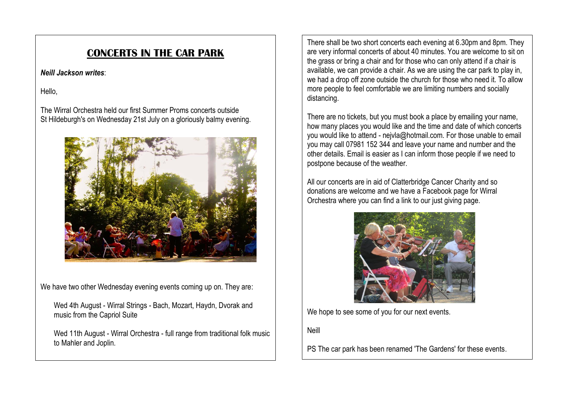### **CONCERTS IN THE CAR PARK**

### *Neill Jackson writes*:

Hello,

The Wirral Orchestra held our first Summer Proms concerts outside St Hildeburgh's on Wednesday 21st July on a gloriously balmy evening.



We have two other Wednesday evening events coming up on. They are:

Wed 4th August - Wirral Strings - Bach, Mozart, Haydn, Dvorak and music from the Capriol Suite

Wed 11th August - Wirral Orchestra - full range from traditional folk music to Mahler and Joplin.

There shall be two short concerts each evening at 6.30pm and 8pm. They are very informal concerts of about 40 minutes. You are welcome to sit on the grass or bring a chair and for those who can only attend if a chair is available, we can provide a chair. As we are using the car park to play in, we had a drop off zone outside the church for those who need it. To allow more people to feel comfortable we are limiting numbers and socially distancing.

There are no tickets, but you must book a place by emailing your name, how many places you would like and the time and date of which concerts you would like to attend - nejvla@hotmail.com. For those unable to email you may call 07981 152 344 and leave your name and number and the other details. Email is easier as I can inform those people if we need to postpone because of the weather.

All our concerts are in aid of Clatterbridge Cancer Charity and so donations are welcome and we have a Facebook page for Wirral Orchestra where you can find a link to our just giving page.



We hope to see some of you for our next events.

Neill

PS The car park has been renamed 'The Gardens' for these events.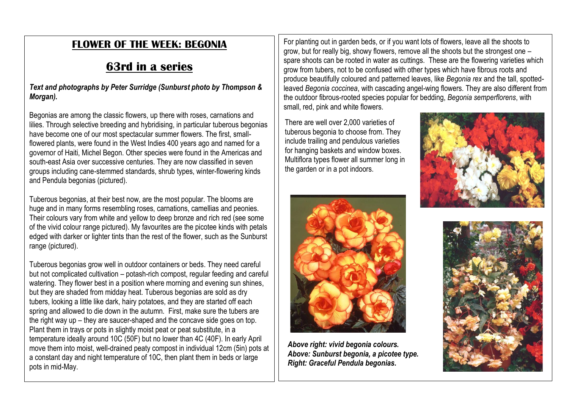## **FLOWER OF THE WEEK: BEGONIA**

# **63rd in a series**

*Text and photographs by Peter Surridge (Sunburst photo by Thompson & Morgan).* 

Begonias are among the classic flowers, up there with roses, carnations and lilies. Through selective breeding and hybridising, in particular tuberous begonias have become one of our most spectacular summer flowers. The first, smallflowered plants, were found in the West Indies 400 years ago and named for a governor of Haiti, Michel Begon. Other species were found in the Americas and south-east Asia over successive centuries. They are now classified in seven groups including cane-stemmed standards, shrub types, winter-flowering kinds and Pendula begonias (pictured).

Tuberous begonias, at their best now, are the most popular. The blooms are huge and in many forms resembling roses, carnations, camellias and peonies. Their colours vary from white and yellow to deep bronze and rich red (see some of the vivid colour range pictured). My favourites are the picotee kinds with petals edged with darker or lighter tints than the rest of the flower, such as the Sunburst range (pictured).

Tuberous begonias grow well in outdoor containers or beds. They need careful but not complicated cultivation – potash-rich compost, regular feeding and careful watering. They flower best in a position where morning and evening sun shines, but they are shaded from midday heat. Tuberous begonias are sold as dry tubers, looking a little like dark, hairy potatoes, and they are started off each spring and allowed to die down in the autumn. First, make sure the tubers are the right way up – they are saucer-shaped and the concave side goes on top. Plant them in trays or pots in slightly moist peat or peat substitute, in a temperature ideally around 10C (50F) but no lower than 4C (40F). In early April move them into moist, well-drained peaty compost in individual 12cm (5in) pots at a constant day and night temperature of 10C, then plant them in beds or large pots in mid-May.

For planting out in garden beds, or if you want lots of flowers, leave all the shoots to grow, but for really big, showy flowers, remove all the shoots but the strongest one – spare shoots can be rooted in water as cuttings. These are the flowering varieties which grow from tubers, not to be confused with other types which have fibrous roots and produce beautifully coloured and patterned leaves, like *Begonia rex* and the tall, spottedleaved *Begonia coccinea*, with cascading angel-wing flowers. They are also different from the outdoor fibrous-rooted species popular for bedding, *Begonia semperflorens*, with small, red, pink and white flowers.

There are well over 2,000 varieties of tuberous begonia to choose from. They include trailing and pendulous varieties for hanging baskets and window boxes. Multiflora types flower all summer long in the garden or in a pot indoors.





*Above right: vivid begonia colours. Above: Sunburst begonia, a picotee type. Right: Graceful Pendula begonias.*